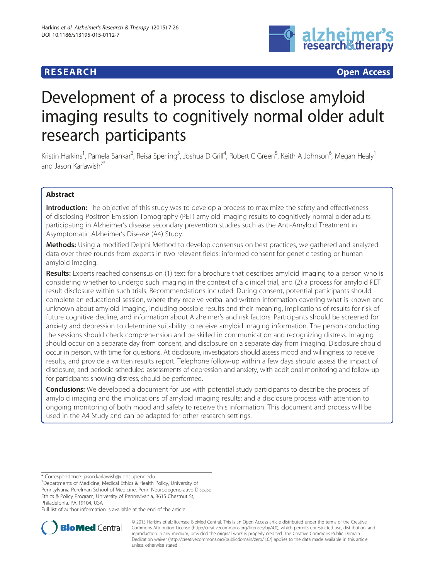## **RESEARCH CHEAR CHEAR CHEAR CHEAR CHEAR CHEAR CHEAR CHEAR CHEAR CHEAR CHEAR CHEAR CHEAR CHEAR CHEAR CHEAR CHEAR**



# Development of a process to disclose amyloid imaging results to cognitively normal older adult research participants

Kristin Harkins<sup>1</sup>, Pamela Sankar<sup>2</sup>, Reisa Sperling<sup>3</sup>, Joshua D Grill<sup>4</sup>, Robert C Green<sup>5</sup>, Keith A Johnson<sup>6</sup>, Megan Healy<sup>1</sup> and Jason Karlawish<sup>7\*</sup>

## Abstract

Introduction: The objective of this study was to develop a process to maximize the safety and effectiveness of disclosing Positron Emission Tomography (PET) amyloid imaging results to cognitively normal older adults participating in Alzheimer's disease secondary prevention studies such as the Anti-Amyloid Treatment in Asymptomatic Alzheimer's Disease (A4) Study.

**Methods:** Using a modified Delphi Method to develop consensus on best practices, we gathered and analyzed data over three rounds from experts in two relevant fields: informed consent for genetic testing or human amyloid imaging.

Results: Experts reached consensus on (1) text for a brochure that describes amyloid imaging to a person who is considering whether to undergo such imaging in the context of a clinical trial, and (2) a process for amyloid PET result disclosure within such trials. Recommendations included: During consent, potential participants should complete an educational session, where they receive verbal and written information covering what is known and unknown about amyloid imaging, including possible results and their meaning, implications of results for risk of future cognitive decline, and information about Alzheimer's and risk factors. Participants should be screened for anxiety and depression to determine suitability to receive amyloid imaging information. The person conducting the sessions should check comprehension and be skilled in communication and recognizing distress. Imaging should occur on a separate day from consent, and disclosure on a separate day from imaging. Disclosure should occur in person, with time for questions. At disclosure, investigators should assess mood and willingness to receive results, and provide a written results report. Telephone follow-up within a few days should assess the impact of disclosure, and periodic scheduled assessments of depression and anxiety, with additional monitoring and follow-up for participants showing distress, should be performed.

**Conclusions:** We developed a document for use with potential study participants to describe the process of amyloid imaging and the implications of amyloid imaging results; and a disclosure process with attention to ongoing monitoring of both mood and safety to receive this information. This document and process will be used in the A4 Study and can be adapted for other research settings.

Departments of Medicine, Medical Ethics & Health Policy, University of Pennsylvania Perelman School of Medicine, Penn Neurodegenerative Disease

Ethics & Policy Program, University of Pennsylvania, 3615 Chestnut St, Philadelphia, PA 19104, USA

Full list of author information is available at the end of the article



© 2015 Harkins et al.; licensee BioMed Central. This is an Open Access article distributed under the terms of the Creative Commons Attribution License [\(http://creativecommons.org/licenses/by/4.0\)](http://creativecommons.org/licenses/by/4.0), which permits unrestricted use, distribution, and reproduction in any medium, provided the original work is properly credited. The Creative Commons Public Domain Dedication waiver [\(http://creativecommons.org/publicdomain/zero/1.0/](http://creativecommons.org/publicdomain/zero/1.0/)) applies to the data made available in this article, unless otherwise stated.

<sup>\*</sup> Correspondence: [jason.karlawish@uphs.upenn.edu](mailto:jason.karlawish@uphs.upenn.edu) <sup>7</sup>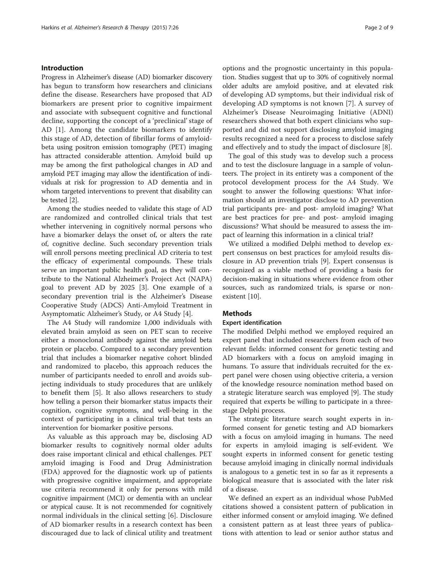#### Introduction

Progress in Alzheimer's disease (AD) biomarker discovery has begun to transform how researchers and clinicians define the disease. Researchers have proposed that AD biomarkers are present prior to cognitive impairment and associate with subsequent cognitive and functional decline, supporting the concept of a 'preclinical' stage of AD [\[1](#page-7-0)]. Among the candidate biomarkers to identify this stage of AD, detection of fibrillar forms of amyloidbeta using positron emission tomography (PET) imaging has attracted considerable attention. Amyloid build up may be among the first pathological changes in AD and amyloid PET imaging may allow the identification of individuals at risk for progression to AD dementia and in whom targeted interventions to prevent that disability can be tested [\[2\]](#page-7-0).

Among the studies needed to validate this stage of AD are randomized and controlled clinical trials that test whether intervening in cognitively normal persons who have a biomarker delays the onset of, or alters the rate of, cognitive decline. Such secondary prevention trials will enroll persons meeting preclinical AD criteria to test the efficacy of experimental compounds. These trials serve an important public health goal, as they will contribute to the National Alzheimer's Project Act (NAPA) goal to prevent AD by 2025 [[3](#page-7-0)]. One example of a secondary prevention trial is the Alzheimer's Disease Cooperative Study (ADCS) Anti-Amyloid Treatment in Asymptomatic Alzheimer's Study, or A4 Study [[4\]](#page-7-0).

The A4 Study will randomize 1,000 individuals with elevated brain amyloid as seen on PET scan to receive either a monoclonal antibody against the amyloid beta protein or placebo. Compared to a secondary prevention trial that includes a biomarker negative cohort blinded and randomized to placebo, this approach reduces the number of participants needed to enroll and avoids subjecting individuals to study procedures that are unlikely to benefit them [\[5](#page-7-0)]. It also allows researchers to study how telling a person their biomarker status impacts their cognition, cognitive symptoms, and well-being in the context of participating in a clinical trial that tests an intervention for biomarker positive persons.

As valuable as this approach may be, disclosing AD biomarker results to cognitively normal older adults does raise important clinical and ethical challenges. PET amyloid imaging is Food and Drug Administration (FDA) approved for the diagnostic work up of patients with progressive cognitive impairment, and appropriate use criteria recommend it only for persons with mild cognitive impairment (MCI) or dementia with an unclear or atypical cause. It is not recommended for cognitively normal individuals in the clinical setting [\[6](#page-7-0)]. Disclosure of AD biomarker results in a research context has been discouraged due to lack of clinical utility and treatment

options and the prognostic uncertainty in this population. Studies suggest that up to 30% of cognitively normal older adults are amyloid positive, and at elevated risk of developing AD symptoms, but their individual risk of developing AD symptoms is not known [[7\]](#page-7-0). A survey of Alzheimer's Disease Neuroimaging Initiative (ADNI) researchers showed that both expert clinicians who supported and did not support disclosing amyloid imaging results recognized a need for a process to disclose safely and effectively and to study the impact of disclosure [[8\]](#page-7-0).

The goal of this study was to develop such a process and to test the disclosure language in a sample of volunteers. The project in its entirety was a component of the protocol development process for the A4 Study. We sought to answer the following questions: What information should an investigator disclose to AD prevention trial participants pre- and post- amyloid imaging? What are best practices for pre- and post- amyloid imaging discussions? What should be measured to assess the impact of learning this information in a clinical trial?

We utilized a modified Delphi method to develop expert consensus on best practices for amyloid results disclosure in AD prevention trials [\[9](#page-7-0)]. Expert consensus is recognized as a viable method of providing a basis for decision-making in situations where evidence from other sources, such as randomized trials, is sparse or nonexistent [[10](#page-7-0)].

#### **Methods**

#### Expert identification

The modified Delphi method we employed required an expert panel that included researchers from each of two relevant fields: informed consent for genetic testing and AD biomarkers with a focus on amyloid imaging in humans. To assure that individuals recruited for the expert panel were chosen using objective criteria, a version of the knowledge resource nomination method based on a strategic literature search was employed [[9\]](#page-7-0). The study required that experts be willing to participate in a threestage Delphi process.

The strategic literature search sought experts in informed consent for genetic testing and AD biomarkers with a focus on amyloid imaging in humans. The need for experts in amyloid imaging is self-evident. We sought experts in informed consent for genetic testing because amyloid imaging in clinically normal individuals is analogous to a genetic test in so far as it represents a biological measure that is associated with the later risk of a disease.

We defined an expert as an individual whose PubMed citations showed a consistent pattern of publication in either informed consent or amyloid imaging. We defined a consistent pattern as at least three years of publications with attention to lead or senior author status and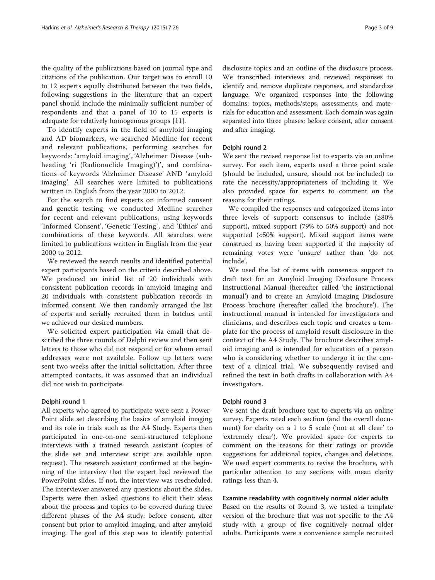the quality of the publications based on journal type and citations of the publication. Our target was to enroll 10 to 12 experts equally distributed between the two fields, following suggestions in the literature that an expert panel should include the minimally sufficient number of respondents and that a panel of 10 to 15 experts is adequate for relatively homogenous groups [[11](#page-7-0)].

To identify experts in the field of amyloid imaging and AD biomarkers, we searched Medline for recent and relevant publications, performing searches for keywords: 'amyloid imaging', 'Alzheimer Disease (subheading 'ri (Radionuclide Imaging)')', and combinations of keywords 'Alzheimer Disease' AND 'amyloid imaging'. All searches were limited to publications written in English from the year 2000 to 2012.

For the search to find experts on informed consent and genetic testing, we conducted Medline searches for recent and relevant publications, using keywords 'Informed Consent', 'Genetic Testing', and 'Ethics' and combinations of these keywords. All searches were limited to publications written in English from the year 2000 to 2012.

We reviewed the search results and identified potential expert participants based on the criteria described above. We produced an initial list of 20 individuals with consistent publication records in amyloid imaging and 20 individuals with consistent publication records in informed consent. We then randomly arranged the list of experts and serially recruited them in batches until we achieved our desired numbers.

We solicited expert participation via email that described the three rounds of Delphi review and then sent letters to those who did not respond or for whom email addresses were not available. Follow up letters were sent two weeks after the initial solicitation. After three attempted contacts, it was assumed that an individual did not wish to participate.

#### Delphi round 1

All experts who agreed to participate were sent a Power-Point slide set describing the basics of amyloid imaging and its role in trials such as the A4 Study. Experts then participated in one-on-one semi-structured telephone interviews with a trained research assistant (copies of the slide set and interview script are available upon request). The research assistant confirmed at the beginning of the interview that the expert had reviewed the PowerPoint slides. If not, the interview was rescheduled. The interviewer answered any questions about the slides. Experts were then asked questions to elicit their ideas about the process and topics to be covered during three different phases of the A4 study: before consent, after consent but prior to amyloid imaging, and after amyloid imaging. The goal of this step was to identify potential

We transcribed interviews and reviewed responses to identify and remove duplicate responses, and standardize language. We organized responses into the following domains: topics, methods/steps, assessments, and materials for education and assessment. Each domain was again separated into three phases: before consent, after consent and after imaging.

#### Delphi round 2

We sent the revised response list to experts via an online survey. For each item, experts used a three point scale (should be included, unsure, should not be included) to rate the necessity/appropriateness of including it. We also provided space for experts to comment on the reasons for their ratings.

We compiled the responses and categorized items into three levels of support: consensus to include  $(≥80%$ support), mixed support (79% to 50% support) and not supported (<50% support). Mixed support items were construed as having been supported if the majority of remaining votes were 'unsure' rather than 'do not include'.

We used the list of items with consensus support to draft text for an Amyloid Imaging Disclosure Process Instructional Manual (hereafter called 'the instructional manual') and to create an Amyloid Imaging Disclosure Process brochure (hereafter called 'the brochure'). The instructional manual is intended for investigators and clinicians, and describes each topic and creates a template for the process of amyloid result disclosure in the context of the A4 Study. The brochure describes amyloid imaging and is intended for education of a person who is considering whether to undergo it in the context of a clinical trial. We subsequently revised and refined the text in both drafts in collaboration with A4 investigators.

#### Delphi round 3

We sent the draft brochure text to experts via an online survey. Experts rated each section (and the overall document) for clarity on a 1 to 5 scale ('not at all clear' to 'extremely clear'). We provided space for experts to comment on the reasons for their ratings or provide suggestions for additional topics, changes and deletions. We used expert comments to revise the brochure, with particular attention to any sections with mean clarity ratings less than 4.

#### Examine readability with cognitively normal older adults

Based on the results of Round 3, we tested a template version of the brochure that was not specific to the A4 study with a group of five cognitively normal older adults. Participants were a convenience sample recruited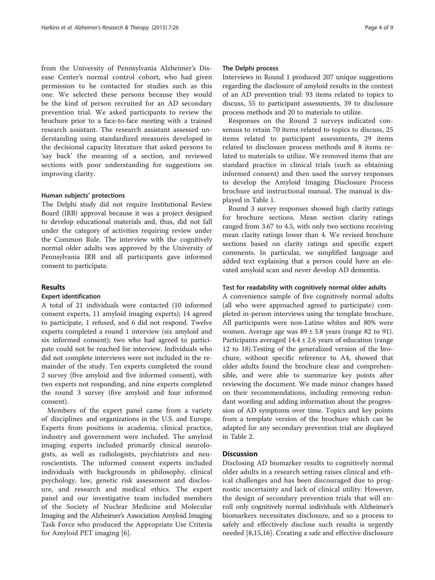from the University of Pennsylvania Alzheimer's Disease Center's normal control cohort, who had given permission to be contacted for studies such as this one. We selected these persons because they would be the kind of person recruited for an AD secondary prevention trial. We asked participants to review the brochure prior to a face-to-face meeting with a trained research assistant. The research assistant assessed understanding using standardized measures developed in the decisional capacity literature that asked persons to 'say back' the meaning of a section, and reviewed sections with poor understanding for suggestions on improving clarity.

#### Human subjects' protections

The Delphi study did not require Institutional Review Board (IRB) approval because it was a project designed to develop educational materials and, thus, did not fall under the category of activities requiring review under the Common Rule. The interview with the cognitively normal older adults was approved by the University of Pennsylvania IRB and all participants gave informed consent to participate.

#### Results

#### Expert identification

A total of 21 individuals were contacted (10 informed consent experts, 11 amyloid imaging experts); 14 agreed to participate, 1 refused, and 6 did not respond. Twelve experts completed a round 1 interview (six amyloid and six informed consent); two who had agreed to participate could not be reached for interview. Individuals who did not complete interviews were not included in the remainder of the study. Ten experts completed the round 2 survey (five amyloid and five informed consent), with two experts not responding, and nine experts completed the round 3 survey (five amyloid and four informed consent).

Members of the expert panel came from a variety of disciplines and organizations in the U.S. and Europe. Experts from positions in academia, clinical practice, industry and government were included. The amyloid imaging experts included primarily clinical neurologists, as well as radiologists, psychiatrists and neuroscientists. The informed consent experts included individuals with backgrounds in philosophy, clinical psychology, law, genetic risk assessment and disclosure, and research and medical ethics. The expert panel and our investigative team included members of the Society of Nuclear Medicine and Molecular Imaging and the Alzheimer's Association Amyloid Imaging Task Force who produced the Appropriate Use Criteria for Amyloid PET imaging [\[6](#page-7-0)].

#### The Delphi process

Interviews in Round 1 produced 207 unique suggestions regarding the disclosure of amyloid results in the context of an AD prevention trial: 93 items related to topics to discuss, 55 to participant assessments, 39 to disclosure process methods and 20 to materials to utilize.

Responses on the Round 2 surveys indicated consensus to retain 70 items related to topics to discuss, 25 items related to participant assessments, 29 items related to disclosure process methods and 8 items related to materials to utilize. We removed items that are standard practice in clinical trials (such as obtaining informed consent) and then used the survey responses to develop the Amyloid Imaging Disclosure Process brochure and instructional manual. The manual is displayed in Table [1](#page-4-0).

Round 3 survey responses showed high clarity ratings for brochure sections. Mean section clarity ratings ranged from 3.67 to 4.5, with only two sections receiving mean clarity ratings lower than 4. We revised brochure sections based on clarity ratings and specific expert comments. In particular, we simplified language and added text explaining that a person could have an elevated amyloid scan and never develop AD dementia.

#### Test for readability with cognitively normal older adults

A convenience sample of five cognitively normal adults (all who were approached agreed to participate) completed in-person interviews using the template brochure. All participants were non-Latino whites and 80% were women. Average age was  $89 \pm 3.8$  years (range 82 to 91). Participants averaged  $14.4 \pm 2.6$  years of education (range 12 to 18).Testing of the generalized version of the brochure, without specific reference to A4, showed that older adults found the brochure clear and comprehensible, and were able to summarize key points after reviewing the document. We made minor changes based on their recommendations, including removing redundant wording and adding information about the progression of AD symptoms over time. Topics and key points from a template version of the brochure which can be adapted for any secondary prevention trial are displayed in Table [2.](#page-5-0)

#### **Discussion**

Disclosing AD biomarker results to cognitively normal older adults in a research setting raises clinical and ethical challenges and has been discouraged due to prognostic uncertainty and lack of clinical utility. However, the design of secondary prevention trials that will enroll only cognitively normal individuals with Alzheimer's biomarkers necessitates disclosure, and so a process to safely and effectively disclose such results is urgently needed [\[8,15,16\]](#page-7-0). Creating a safe and effective disclosure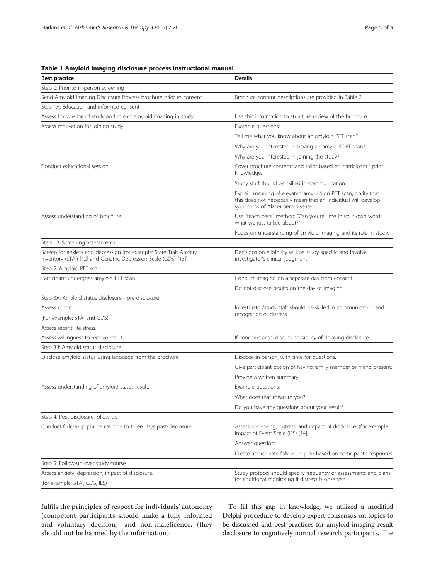<span id="page-4-0"></span>

|  |  |  |  |  |  |  | Table 1 Amyloid imaging disclosure process instructional manual |  |
|--|--|--|--|--|--|--|-----------------------------------------------------------------|--|
|--|--|--|--|--|--|--|-----------------------------------------------------------------|--|

| <b>Best practice</b>                                                                                                                    | <b>Details</b>                                                                                                                                                     |  |
|-----------------------------------------------------------------------------------------------------------------------------------------|--------------------------------------------------------------------------------------------------------------------------------------------------------------------|--|
| Step 0: Prior to in-person screening                                                                                                    |                                                                                                                                                                    |  |
| Send Amyloid Imaging Disclosure Process brochure prior to consent.                                                                      | Brochure content descriptions are provided in Table 2.                                                                                                             |  |
| Step 1A: Education and informed consent                                                                                                 |                                                                                                                                                                    |  |
| Assess knowledge of study and role of amyloid imaging in study.                                                                         | Use this information to structure review of the brochure.                                                                                                          |  |
| Assess motivation for joining study.                                                                                                    | Example questions:                                                                                                                                                 |  |
|                                                                                                                                         | Tell me what you know about an amyloid PET scan?                                                                                                                   |  |
|                                                                                                                                         | Why are you interested in having an amyloid PET scan?                                                                                                              |  |
|                                                                                                                                         | Why are you interested in joining the study?                                                                                                                       |  |
| Conduct educational session.                                                                                                            | Cover brochure contents and tailor based on participant's prior<br>knowledge.                                                                                      |  |
|                                                                                                                                         | Study staff should be skilled in communication.                                                                                                                    |  |
|                                                                                                                                         | Explain meaning of elevated amyloid on PET scan, clarify that<br>this does not necessarily mean that an individual will develop<br>symptoms of Alzheimer's disease |  |
| Assess understanding of brochure.                                                                                                       | Use "teach back" method: "Can you tell me in your own words<br>what we just talked about?"                                                                         |  |
|                                                                                                                                         | Focus on understanding of amyloid imaging and its role in study.                                                                                                   |  |
| Step 1B: Screening assessments                                                                                                          |                                                                                                                                                                    |  |
| Screen for anxiety and depression (for example: State-Trait Anxiety<br>Inventory (STAI) [12] and Geriatric Depression Scale (GDS) [13]) | Decisions on eligibility will be study-specific and involve<br>investigator's clinical judgment.                                                                   |  |
| Step 2: Amyloid PET scan                                                                                                                |                                                                                                                                                                    |  |
| Participant undergoes amyloid PET scan.                                                                                                 | Conduct imaging on a separate day from consent.                                                                                                                    |  |
|                                                                                                                                         | Do not disclose results on the day of imaging.                                                                                                                     |  |
| Step 3A: Amyloid status disclosure - pre-disclosure                                                                                     |                                                                                                                                                                    |  |
| Assess mood.                                                                                                                            | Investigator/study staff should be skilled in communication and                                                                                                    |  |
| (For example: STAI and GDS)                                                                                                             | recognition of distress.                                                                                                                                           |  |
| Assess recent life stress.                                                                                                              |                                                                                                                                                                    |  |
| Assess willingness to receive result.                                                                                                   | If concerns arise, discuss possibility of delaying disclosure.                                                                                                     |  |
| Step 3B: Amyloid status disclosure                                                                                                      |                                                                                                                                                                    |  |
| Disclose amyloid status using language from the brochure.                                                                               | Disclose in-person, with time for questions.                                                                                                                       |  |
|                                                                                                                                         | Give participant option of having family member or friend present.                                                                                                 |  |
|                                                                                                                                         | Provide a written summary.                                                                                                                                         |  |
| Assess understanding of amyloid status result.                                                                                          | Example questions:                                                                                                                                                 |  |
|                                                                                                                                         | What does that mean to you?                                                                                                                                        |  |
|                                                                                                                                         | Do you have any questions about your result?                                                                                                                       |  |
| Step 4: Post-disclosure follow-up                                                                                                       |                                                                                                                                                                    |  |
| Conduct follow-up phone call one to three days post-disclosure.                                                                         | Assess well-being, distress, and impact of disclosure. (for example:<br>Impact of Event Scale (IES) [14])                                                          |  |
|                                                                                                                                         | Answer questions.                                                                                                                                                  |  |
|                                                                                                                                         | Create appropriate follow-up plan based on participant's responses.                                                                                                |  |
| Step 5: Follow-up over study course                                                                                                     |                                                                                                                                                                    |  |
| Assess anxiety, depression, impact of disclosure.                                                                                       | Study protocol should specify frequency of assessments and plans<br>for additional monitoring if distress is observed.                                             |  |
| (for example: STAI, GDS, IES)                                                                                                           |                                                                                                                                                                    |  |

fulfils the principles of respect for individuals' autonomy (competent participants should make a fully informed and voluntary decision), and non-maleficence, (they should not be harmed by the information).

To fill this gap in knowledge, we utilized a modified Delphi procedure to develop expert consensus on topics to be discussed and best practices for amyloid imaging result disclosure to cognitively normal research participants. The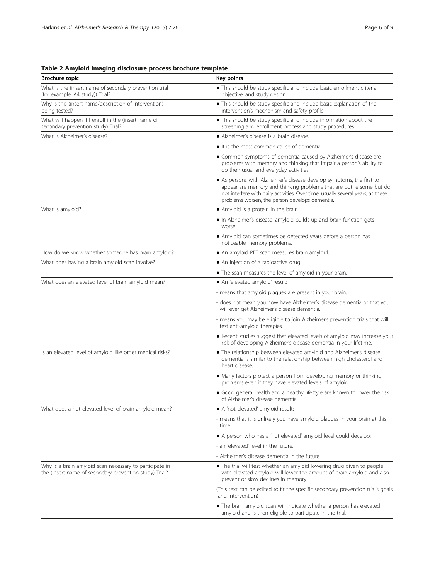## <span id="page-5-0"></span>Table 2 Amyloid imaging disclosure process brochure template

| <b>Brochure topic</b>                                                                                             | Key points                                                                                                                                                                                                                                                                      |
|-------------------------------------------------------------------------------------------------------------------|---------------------------------------------------------------------------------------------------------------------------------------------------------------------------------------------------------------------------------------------------------------------------------|
| What is the (insert name of secondary prevention trial<br>(for example: A4 study)) Trial?                         | • This should be study specific and include basic enrollment criteria,<br>objective, and study design                                                                                                                                                                           |
| Why is this (insert name/description of intervention)<br>being tested?                                            | . This should be study specific and include basic explanation of the<br>intervention's mechanism and safety profile                                                                                                                                                             |
| What will happen if I enroll in the (insert name of<br>secondary prevention study) Trial?                         | • This should be study specific and include information about the<br>screening and enrollment process and study procedures                                                                                                                                                      |
| What is Alzheimer's disease?                                                                                      | • Alzheimer's disease is a brain disease.                                                                                                                                                                                                                                       |
|                                                                                                                   | • It is the most common cause of dementia.                                                                                                                                                                                                                                      |
|                                                                                                                   | • Common symptoms of dementia caused by Alzheimer's disease are<br>problems with memory and thinking that impair a person's ability to<br>do their usual and everyday activities.                                                                                               |
|                                                                                                                   | • As persons with Alzheimer's disease develop symptoms, the first to<br>appear are memory and thinking problems that are bothersome but do<br>not interfere with daily activities. Over time, usually several years, as these<br>problems worsen, the person develops dementia. |
| What is amyloid?                                                                                                  | • Amyloid is a protein in the brain                                                                                                                                                                                                                                             |
|                                                                                                                   | • In Alzheimer's disease, amyloid builds up and brain function gets<br>worse                                                                                                                                                                                                    |
|                                                                                                                   | • Amyloid can sometimes be detected years before a person has<br>noticeable memory problems.                                                                                                                                                                                    |
| How do we know whether someone has brain amyloid?                                                                 | • An amyloid PET scan measures brain amyloid.                                                                                                                                                                                                                                   |
| What does having a brain amyloid scan involve?                                                                    | • An injection of a radioactive drug.                                                                                                                                                                                                                                           |
|                                                                                                                   | • The scan measures the level of amyloid in your brain.                                                                                                                                                                                                                         |
| What does an elevated level of brain amyloid mean?                                                                | · An 'elevated amyloid' result:                                                                                                                                                                                                                                                 |
|                                                                                                                   | - means that amyloid plaques are present in your brain.                                                                                                                                                                                                                         |
|                                                                                                                   | - does not mean you now have Alzheimer's disease dementia or that you<br>will ever get Alzheimer's disease dementia.                                                                                                                                                            |
|                                                                                                                   | - means you may be eligible to join Alzheimer's prevention trials that will<br>test anti-amyloid therapies.                                                                                                                                                                     |
|                                                                                                                   | • Recent studies suggest that elevated levels of amyloid may increase your<br>risk of developing Alzheimer's disease dementia in your lifetime.                                                                                                                                 |
| Is an elevated level of amyloid like other medical risks?                                                         | • The relationship between elevated amyloid and Alzheimer's disease<br>dementia is similar to the relationship between high cholesterol and<br>heart disease.                                                                                                                   |
|                                                                                                                   | • Many factors protect a person from developing memory or thinking<br>problems even if they have elevated levels of amyloid.                                                                                                                                                    |
|                                                                                                                   | • Good general health and a healthy lifestyle are known to lower the risk<br>of Alzheimer's disease dementia.                                                                                                                                                                   |
| What does a not elevated level of brain amyloid mean?                                                             | • A 'not elevated' amyloid result:                                                                                                                                                                                                                                              |
|                                                                                                                   | - means that it is unlikely you have amyloid plaques in your brain at this<br>time.                                                                                                                                                                                             |
|                                                                                                                   | • A person who has a 'not elevated' amyloid level could develop:                                                                                                                                                                                                                |
|                                                                                                                   | - an 'elevated' level in the future.                                                                                                                                                                                                                                            |
|                                                                                                                   | - Alzheimer's disease dementia in the future.                                                                                                                                                                                                                                   |
| Why is a brain amyloid scan necessary to participate in<br>the (insert name of secondary prevention study) Trial? | . The trial will test whether an amyloid lowering drug given to people<br>with elevated amyloid will lower the amount of brain amyloid and also<br>prevent or slow declines in memory.                                                                                          |
|                                                                                                                   | (This text can be edited to fit the specific secondary prevention trial's goals<br>and intervention)                                                                                                                                                                            |
|                                                                                                                   | • The brain amyloid scan will indicate whether a person has elevated<br>amyloid and is then eligible to participate in the trial.                                                                                                                                               |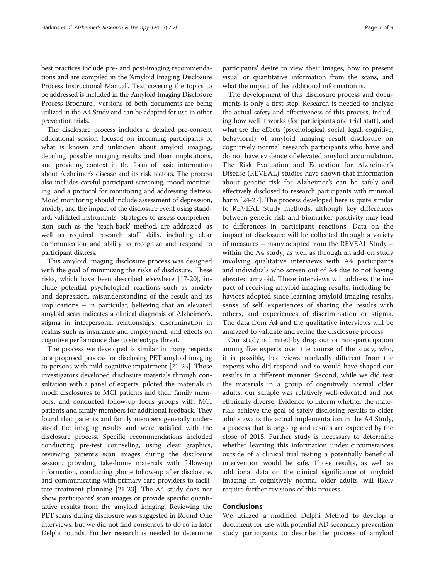best practices include pre- and post-imaging recommendations and are compiled in the 'Amyloid Imaging Disclosure Process Instructional Manual'. Text covering the topics to be addressed is included in the 'Amyloid Imaging Disclosure Process Brochure'. Versions of both documents are being utilized in the A4 Study and can be adapted for use in other prevention trials.

The disclosure process includes a detailed pre-consent educational session focused on informing participants of what is known and unknown about amyloid imaging, detailing possible imaging results and their implications, and providing context in the form of basic information about Alzheimer's disease and its risk factors. The process also includes careful participant screening, mood monitoring, and a protocol for monitoring and addressing distress. Mood monitoring should include assessment of depression, anxiety, and the impact of the disclosure event using standard, validated instruments. Strategies to assess comprehension, such as the 'teach-back' method, are addressed, as well as required research staff skills, including clear communication and ability to recognize and respond to participant distress.

This amyloid imaging disclosure process was designed with the goal of minimizing the risks of disclosure. These risks, which have been described elsewhere [[17](#page-7-0)-[20](#page-7-0)], include potential psychological reactions such as anxiety and depression, misunderstanding of the result and its implications – in particular, believing that an elevated amyloid scan indicates a clinical diagnosis of Alzheimer's, stigma in interpersonal relationships, discrimination in realms such as insurance and employment, and effects on cognitive performance due to stereotype threat.

The process we developed is similar in many respects to a proposed process for disclosing PET amyloid imaging to persons with mild cognitive impairment [\[21-23\]](#page-7-0). Those investigators developed disclosure materials through consultation with a panel of experts, piloted the materials in mock disclosures to MCI patients and their family members, and conducted follow-up focus groups with MCI patients and family members for additional feedback. They found that patients and family members generally understood the imaging results and were satisfied with the disclosure process. Specific recommendations included conducting pre-test counseling, using clear graphics, reviewing patient's scan images during the disclosure session, providing take-home materials with follow-up information, conducting phone follow-up after disclosure, and communicating with primary care providers to facilitate treatment planning [\[21-23\]](#page-7-0). The A4 study does not show participants' scan images or provide specific quantitative results from the amyloid imaging. Reviewing the PET scans during disclosure was suggested in Round One interviews, but we did not find consensus to do so in later Delphi rounds. Further research is needed to determine

participants' desire to view their images, how to present visual or quantitative information from the scans, and what the impact of this additional information is.

The development of this disclosure process and documents is only a first step. Research is needed to analyze the actual safety and effectiveness of this process, including how well it works (for participants and trial staff ), and what are the effects (psychological, social, legal, cognitive, behavioral) of amyloid imaging result disclosure on cognitively normal research participants who have and do not have evidence of elevated amyloid accumulation. The Risk Evaluation and Education for Alzheimer's Disease (REVEAL) studies have shown that information about genetic risk for Alzheimer's can be safely and effectively disclosed to research participants with minimal harm [\[24-27\]](#page-8-0). The process developed here is quite similar to REVEAL Study methods, although key differences between genetic risk and biomarker positivity may lead to differences in participant reactions. Data on the impact of disclosure will be collected through a variety of measures – many adapted from the REVEAL Study – within the A4 study, as well as through an add-on study involving qualitative interviews with A4 participants and individuals who screen out of A4 due to not having elevated amyloid. These interviews will address the impact of receiving amyloid imaging results, including behaviors adopted since learning amyloid imaging results, sense of self, experiences of sharing the results with others, and experiences of discrimination or stigma. The data from A4 and the qualitative interviews will be analyzed to validate and refine the disclosure process.

Our study is limited by drop out or non-participation among five experts over the course of the study, who, it is possible, had views markedly different from the experts who did respond and so would have shaped our results in a different manner. Second, while we did test the materials in a group of cognitively normal older adults, our sample was relatively well-educated and not ethnically diverse. Evidence to inform whether the materials achieve the goal of safely disclosing results to older adults awaits the actual implementation in the A4 Study, a process that is ongoing and results are expected by the close of 2015. Further study is necessary to determine whether learning this information under circumstances outside of a clinical trial testing a potentially beneficial intervention would be safe. Those results, as well as additional data on the clinical significance of amyloid imaging in cognitively normal older adults, will likely require further revisions of this process.

#### **Conclusions**

We utilized a modified Delphi Method to develop a document for use with potential AD secondary prevention study participants to describe the process of amyloid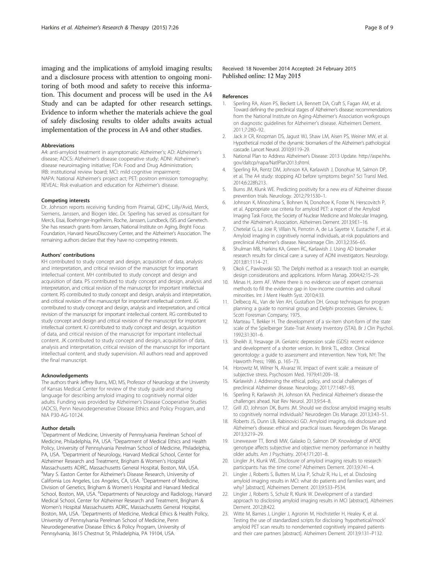<span id="page-7-0"></span>imaging and the implications of amyloid imaging results; and a disclosure process with attention to ongoing monitoring of both mood and safety to receive this information. This document and process will be used in the A4 Study and can be adapted for other research settings. Evidence to inform whether the materials achieve the goal of safely disclosing results to older adults awaits actual implementation of the process in A4 and other studies.

#### Abbreviations

A4: anti-amyloid treatment in asymptomatic Alzheimer's; AD: Alzheimer's disease; ADCS: Alzheimer's disease cooperative study; ADNI: Alzheimer's disease neuroimaging initiative; FDA: Food and Drug Administration; IRB: institutional review board; MCI: mild cognitive impairment; NAPA: National Alzheimer's project act; PET: positron emission tomography; REVEAL: Risk evaluation and education for Alzheimer's disease.

#### Competing interests

Dr. Johnson reports receiving funding from Piramal, GEHC, Lilly/Avid, Merck, Siemens, Janssen, and Biogen Idec. Dr. Sperling has served as consultant for Merck, Eisai, Boehringer-Ingelheim, Roche, Janssen, Lundbeck, ISIS and Genetech. She has research grants from Janssen, National Institute on Aging, Bright Focus Foundation, Harvard NeuroDiscovery Center, and the Alzheimer's Association. The remaining authors declare that they have no competing interests.

#### Authors' contributions

KH contributed to study concept and design, acquisition of data, analysis and interpretation, and critical revision of the manuscript for important intellectual content. MH contributed to study concept and design and acquisition of data. PS contributed to study concept and design, analysis and interpretation, and critical revision of the manuscript for important intellectual content. RS contributed to study concept and design, analysis and interpretation, and critical revision of the manuscript for important intellectual content. JG contributed to study concept and design, analysis and interpretation, and critical revision of the manuscript for important intellectual content. RG contributed to study concept and design and critical revision of the manuscript for important intellectual content. KJ contributed to study concept and design, acquisition of data, and critical revision of the manuscript for important intellectual content. JK contributed to study concept and design, acquisition of data, analysis and interpretation, critical revision of the manuscript for important intellectual content, and study supervision. All authors read and approved the final manuscript.

#### Acknowledgements

The authors thank Jeffrey Burns, MD, MS, Professor of Neurology at the University of Kansas Medical Center for review of the study guide and sharing language for describing amyloid imaging to cognitively normal older adults. Funding was provided by Alzheimer's Disease Cooperative Studies (ADCS), Penn Neurodegenerative Disease Ethics and Policy Program, and NIA P30-AG-10124.

#### Author details

<sup>1</sup>Department of Medicine, University of Pennsylvania Perelman School of Medicine, Philadelphia, PA, USA. <sup>2</sup> Department of Medical Ethics and Health Policy, University of Pennsylvania Perelman School of Medicine, Philadelphia, PA, USA. <sup>3</sup>Department of Neurology, Harvard Medical School, Center for Alzheimer Research and Treatment, Brigham & Women's Hospital Massachusetts ADRC, Massachusetts General Hospital, Boston, MA, USA. 4 Mary S. Easton Center for Alzheimer's Disease Research, University of California Los Angeles, Los Angeles, CA, USA. <sup>5</sup>Department of Medicine, Division of Genetics, Brigham & Women's Hospital and Harvard Medical School, Boston, MA, USA. <sup>6</sup>Departments of Neurology and Radiology, Harvard Medical School, Center for Alzheimer Research and Treatment, Brigham & Women's Hospital Massachusetts ADRC, Massachusetts General Hospital, Boston, MA, USA. <sup>7</sup>Departments of Medicine, Medical Ethics & Health Policy, University of Pennsylvania Perelman School of Medicine, Penn Neurodegenerative Disease Ethics & Policy Program, University of Pennsylvania, 3615 Chestnut St, Philadelphia, PA 19104, USA.

Received: 18 November 2014 Accepted: 24 February 2015 Published online: 12 May 2015

#### References

- 1. Sperling RA, Aisen PS, Beckett LA, Bennett DA, Craft S, Fagan AM, et al. Toward defining the preclinical stages of Alzheimer's disease: recommendations from the National Institute on Aging-Alzheimer's Association workgroups on diagnostic guidelines for Alzheimer's disease. Alzheimers Dement. 2011;7:280–92.
- 2. Jack Jr CR, Knopman DS, Jagust WJ, Shaw LM, Aisen PS, Weiner MW, et al. Hypothetical model of the dynamic biomarkers of the Alzheimer's pathological cascade. Lancet Neurol. 2010;9:119–29.
- 3. National Plan to Address Alzheimer's Disease: 2013 Update. [http://aspe.hhs.](http://aspe.hhs.gov/daltcp/napa/NatlPlan2013.shtml) [gov/daltcp/napa/NatlPlan2013.shtml.](http://aspe.hhs.gov/daltcp/napa/NatlPlan2013.shtml)
- 4. Sperling RA, Rentz DM, Johnson KA, Karlawish J, Donohue M, Salmon DP, et al. The A4 study: stopping AD before symptoms begin? Sci Transl Med. 2014;6:228fs213.
- 5. Burns JM, Klunk WE. Predicting positivity for a new era of Alzheimer disease prevention trials. Neurology. 2012;79:1530–1.
- 6. Johnson K, Minoshima S, Bohnen N, Donohoe K, Foster N, Herscovitch P, et al. Appropriate use criteria for amyloid PET: a report of the Amyloid Imaging Task Force, the Society of Nuclear Medicine and Molecular Imaging, and the Alzheimer's Association. Alzheimers Dement. 2013;9:E1–16.
- 7. Chetelat G, La Joie R, Villain N, Perrotin A, de La Sayette V, Eustache F, et al. Amyloid imaging in cognitively normal individuals, at-risk populations and preclinical Alzheimer's disease. Neuroimage Clin. 2013;2:356–65.
- 8. Shulman MB, Harkins KA, Green RC, Karlawish J. Using AD biomarker research results for clinical care: a survey of ADNI investigators. Neurology. 2013;81:1114–21.
- 9. Okoli C, Pawlowski SD. The Delphi method as a research tool: an example, design considerations and applications. Inform Manag. 2004;42:15–29.
- 10. Minas H, Jorm AF. Where there is no evidence: use of expert consensus methods to fill the evidence gap in low-income countries and cultural minorities. Int J Ment Health Syst. 2010;4:33.
- 11. Delbecq AL, Van de Ven AH, Gustafson DH. Group techniques for program planning: a guide to nominal group and Delphi processes. Glenview, IL: Scott Foresman Company; 1975.
- 12. Marteau T, Bekker H. The development of a six-item short-form of the state scale of the Spielberger State-Trait Anxiety Inventory (STAI). Br J Clin Psychol. 1992;31:301–6.
- 13. Sheikh JI, Yesavage JA. Geriatric depression scale (GDS): recent evidence and development of a shorter version. In: Brink TL, editor. Clinical gerontology: a guide to assessment and intervention. New York, NY: The Haworth Press; 1986. p. 165–73.
- 14. Horowitz M, Wilner N, Alvaraz W. Impact of event scale: a measure of subjective stress. Psychosom Med. 1979;41:209–18.
- 15. Karlawish J. Addressing the ethical, policy, and social challenges of preclinical Alzheimer disease. Neurology. 2011;77:1487–93.
- 16. Sperling R, Karlawish JH, Johnson KA. Preclinical Alzheimer's disease-the challenges ahead. Nat Rev Neurol. 2013;9:54–8.
- 17. Grill JD, Johnson DK, Burns JM. Should we disclose amyloid imaging results to cognitively normal individuals? Neurodegen Dis Manage. 2013;3:43–51.
- 18. Roberts JS, Dunn LB, Rabinovici GD. Amyloid imaging, risk disclosure and Alzheimer's disease: ethical and practical issues. Neurodegen Dis Manage. 2013;3:219–29.
- 19. Lineweaver TT, Bondi MW, Galasko D, Salmon DP. Knowledge of APOE genotype affects subjective and objective memory performance in healthy older adults. Am J Psychiatry. 2014;171:201–8.
- 20. Lingler JH, Klunk WE. Disclosure of amyloid imaging results to research participants: has the time come? Alzheimers Dement. 2013;9:741–4.
- 21. Lingler J, Roberts S, Butters M, Lisa P, Schulz R, Hu L, et al. Disclosing amyloid imaging results in MCI: what do patients and families want, and why? [abstract]. Alzheimers Dement. 2013;9:533–P534.
- 22. Lingler J, Roberts S, Schulz R, Klunk W. Development of a standard approach to disclosing amyloid imaging results in MCI [abstract]. Alzheimers Dement. 2012;8:422.
- 23. Witte M, Barnes J, Lingler J, Agronin M, Hochstetler H, Healey K, et al. Testing the use of standardized scripts for disclosing 'hypothetical/mock' amyloid PET scan results to nondemented cognitively impaired patients and their care partners [abstract]. Alzheimers Dement. 2013;9:131–P132.